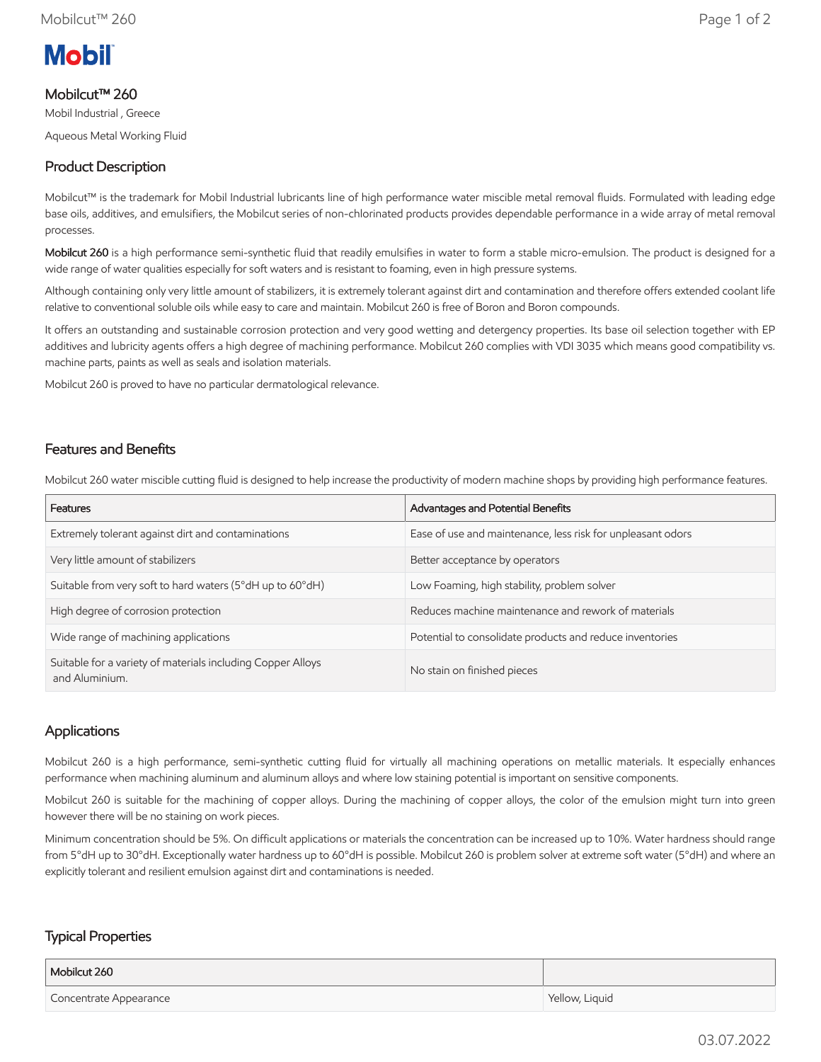

# Mobilcut™ 260

Mobil Industrial , Greece

Aqueous Metal Working Fluid

## Product Description

Mobilcut™ is the trademark for Mobil Industrial lubricants line of high performance water miscible metal removal fluids. Formulated with leading edge base oils, additives, and emulsifiers, the Mobilcut series of non-chlorinated products provides dependable performance in a wide array of metal removal processes.

Mobilcut 260 is a high performance semi-synthetic fluid that readily emulsifies in water to form a stable micro-emulsion. The product is designed for a wide range of water qualities especially for soft waters and is resistant to foaming, even in high pressure systems.

Although containing only very little amount of stabilizers, it is extremely tolerant against dirt and contamination and therefore offers extended coolant life relative to conventional soluble oils while easy to care and maintain. Mobilcut 260 is free of Boron and Boron compounds.

It offers an outstanding and sustainable corrosion protection and very good wetting and detergency properties. Its base oil selection together with EP additives and lubricity agents offers a high degree of machining performance. Mobilcut 260 complies with VDI 3035 which means good compatibility vs. machine parts, paints as well as seals and isolation materials.

Mobilcut 260 is proved to have no particular dermatological relevance.

### Features and Benefits

Mobilcut 260 water miscible cutting fluid is designed to help increase the productivity of modern machine shops by providing high performance features.

| Features                                                                      | Advantages and Potential Benefits                           |
|-------------------------------------------------------------------------------|-------------------------------------------------------------|
| Extremely tolerant against dirt and contaminations                            | Ease of use and maintenance, less risk for unpleasant odors |
| Very little amount of stabilizers                                             | Better acceptance by operators                              |
| Suitable from very soft to hard waters (5°dH up to 60°dH)                     | Low Foaming, high stability, problem solver                 |
| High degree of corrosion protection                                           | Reduces machine maintenance and rework of materials         |
| Wide range of machining applications                                          | Potential to consolidate products and reduce inventories    |
| Suitable for a variety of materials including Copper Alloys<br>and Aluminium. | No stain on finished pieces                                 |

### Applications

Mobilcut 260 is a high performance, semi-synthetic cutting fluid for virtually all machining operations on metallic materials. It especially enhances performance when machining aluminum and aluminum alloys and where low staining potential is important on sensitive components.

Mobilcut 260 is suitable for the machining of copper alloys. During the machining of copper alloys, the color of the emulsion might turn into green however there will be no staining on work pieces.

Minimum concentration should be 5%. On difficult applications or materials the concentration can be increased up to 10%. Water hardness should range from 5°dH up to 30°dH. Exceptionally water hardness up to 60°dH is possible. Mobilcut 260 is problem solver at extreme soft water (5°dH) and where an explicitly tolerant and resilient emulsion against dirt and contaminations is needed.

### Typical Properties

| Mobilcut 260           |                |
|------------------------|----------------|
| Concentrate Appearance | Yellow, Liquid |